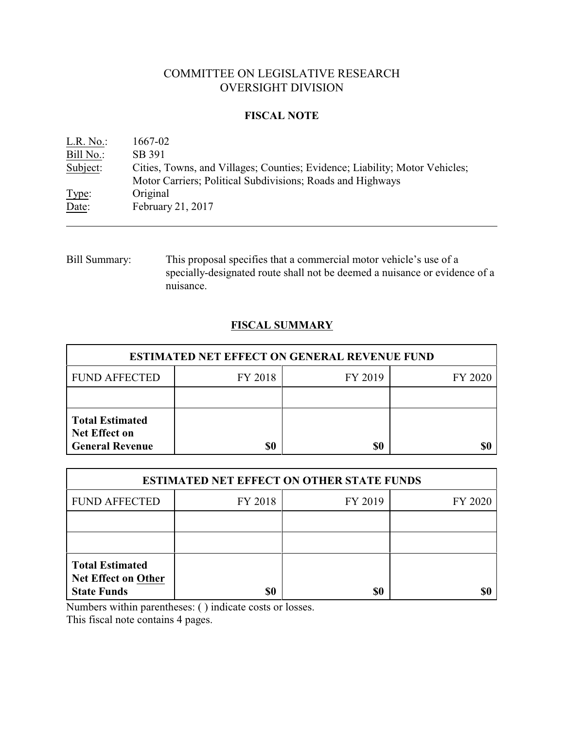# COMMITTEE ON LEGISLATIVE RESEARCH OVERSIGHT DIVISION

## **FISCAL NOTE**

| L.R. No.: | 1667-02                                                                     |
|-----------|-----------------------------------------------------------------------------|
| Bill No.: | SB 391                                                                      |
| Subject:  | Cities, Towns, and Villages; Counties; Evidence; Liability; Motor Vehicles; |
|           | Motor Carriers; Political Subdivisions; Roads and Highways                  |
| Type:     | Original                                                                    |
| Date:     | February 21, 2017                                                           |

Bill Summary: This proposal specifies that a commercial motor vehicle's use of a specially-designated route shall not be deemed a nuisance or evidence of a nuisance.

# **FISCAL SUMMARY**

| <b>ESTIMATED NET EFFECT ON GENERAL REVENUE FUND</b>                      |         |         |         |  |  |
|--------------------------------------------------------------------------|---------|---------|---------|--|--|
| <b>FUND AFFECTED</b>                                                     | FY 2018 | FY 2019 | FY 2020 |  |  |
|                                                                          |         |         |         |  |  |
| <b>Total Estimated</b><br><b>Net Effect on</b><br><b>General Revenue</b> | \$0     | \$0     |         |  |  |

| <b>ESTIMATED NET EFFECT ON OTHER STATE FUNDS</b>                           |         |         |         |  |  |
|----------------------------------------------------------------------------|---------|---------|---------|--|--|
| <b>FUND AFFECTED</b>                                                       | FY 2018 | FY 2019 | FY 2020 |  |  |
|                                                                            |         |         |         |  |  |
|                                                                            |         |         |         |  |  |
| <b>Total Estimated</b><br><b>Net Effect on Other</b><br><b>State Funds</b> | \$0     | \$0     |         |  |  |

Numbers within parentheses: ( ) indicate costs or losses.

This fiscal note contains 4 pages.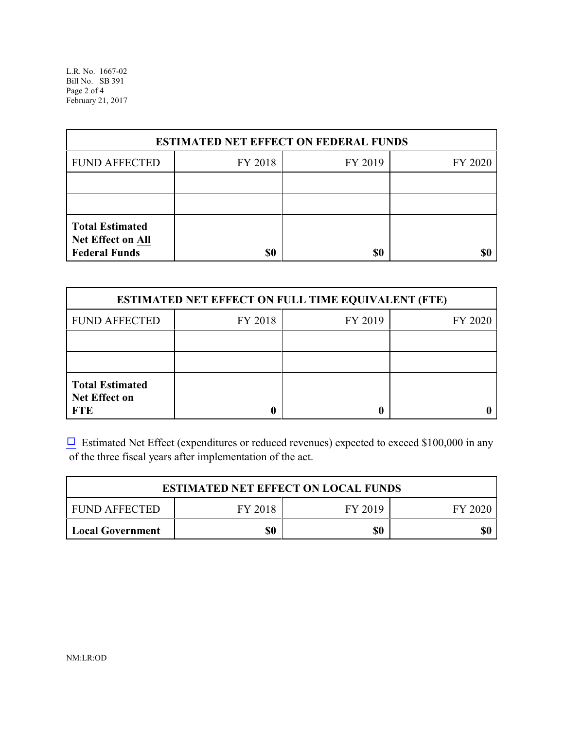L.R. No. 1667-02 Bill No. SB 391 Page 2 of 4 February 21, 2017

| <b>ESTIMATED NET EFFECT ON FEDERAL FUNDS</b>                        |         |         |         |  |  |
|---------------------------------------------------------------------|---------|---------|---------|--|--|
| <b>FUND AFFECTED</b>                                                | FY 2018 | FY 2019 | FY 2020 |  |  |
|                                                                     |         |         |         |  |  |
|                                                                     |         |         |         |  |  |
| <b>Total Estimated</b><br>Net Effect on All<br><b>Federal Funds</b> | \$0     | \$0     |         |  |  |

| <b>ESTIMATED NET EFFECT ON FULL TIME EQUIVALENT (FTE)</b>    |         |         |         |  |  |
|--------------------------------------------------------------|---------|---------|---------|--|--|
| <b>FUND AFFECTED</b>                                         | FY 2018 | FY 2019 | FY 2020 |  |  |
|                                                              |         |         |         |  |  |
|                                                              |         |         |         |  |  |
| <b>Total Estimated</b><br><b>Net Effect on</b><br><b>FTE</b> |         |         |         |  |  |

 $\Box$  Estimated Net Effect (expenditures or reduced revenues) expected to exceed \$100,000 in any of the three fiscal years after implementation of the act.

| <b>ESTIMATED NET EFFECT ON LOCAL FUNDS</b>            |     |     |     |  |  |
|-------------------------------------------------------|-----|-----|-----|--|--|
| FY 2018<br><b>FUND AFFECTED</b><br>FY 2019<br>FY 2020 |     |     |     |  |  |
| Local Government                                      | \$0 | \$0 | \$0 |  |  |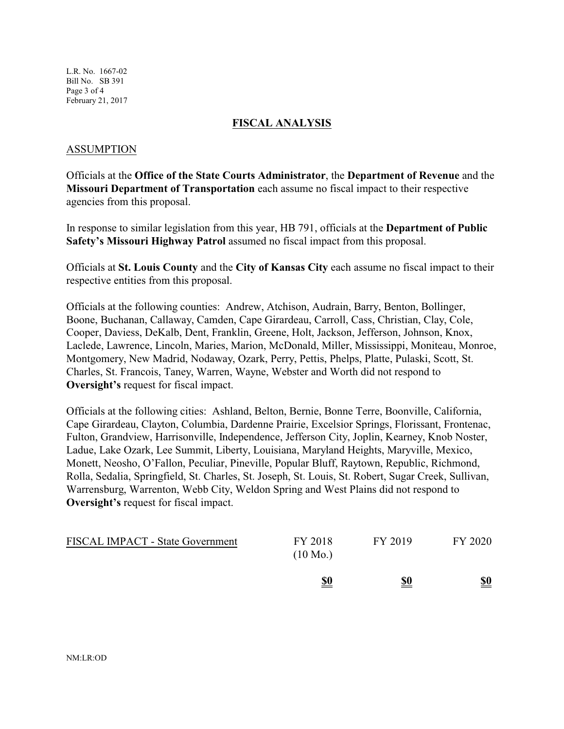L.R. No. 1667-02 Bill No. SB 391 Page 3 of 4 February 21, 2017

#### **FISCAL ANALYSIS**

#### ASSUMPTION

Officials at the **Office of the State Courts Administrator**, the **Department of Revenue** and the **Missouri Department of Transportation** each assume no fiscal impact to their respective agencies from this proposal.

In response to similar legislation from this year, HB 791, officials at the **Department of Public Safety's Missouri Highway Patrol** assumed no fiscal impact from this proposal.

Officials at **St. Louis County** and the **City of Kansas City** each assume no fiscal impact to their respective entities from this proposal.

Officials at the following counties: Andrew, Atchison, Audrain, Barry, Benton, Bollinger, Boone, Buchanan, Callaway, Camden, Cape Girardeau, Carroll, Cass, Christian, Clay, Cole, Cooper, Daviess, DeKalb, Dent, Franklin, Greene, Holt, Jackson, Jefferson, Johnson, Knox, Laclede, Lawrence, Lincoln, Maries, Marion, McDonald, Miller, Mississippi, Moniteau, Monroe, Montgomery, New Madrid, Nodaway, Ozark, Perry, Pettis, Phelps, Platte, Pulaski, Scott, St. Charles, St. Francois, Taney, Warren, Wayne, Webster and Worth did not respond to **Oversight's** request for fiscal impact.

Officials at the following cities: Ashland, Belton, Bernie, Bonne Terre, Boonville, California, Cape Girardeau, Clayton, Columbia, Dardenne Prairie, Excelsior Springs, Florissant, Frontenac, Fulton, Grandview, Harrisonville, Independence, Jefferson City, Joplin, Kearney, Knob Noster, Ladue, Lake Ozark, Lee Summit, Liberty, Louisiana, Maryland Heights, Maryville, Mexico, Monett, Neosho, O'Fallon, Peculiar, Pineville, Popular Bluff, Raytown, Republic, Richmond, Rolla, Sedalia, Springfield, St. Charles, St. Joseph, St. Louis, St. Robert, Sugar Creek, Sullivan, Warrensburg, Warrenton, Webb City, Weldon Spring and West Plains did not respond to **Oversight's** request for fiscal impact.

| <b>FISCAL IMPACT - State Government</b> | FY 2018<br>$(10 \text{ Mo.})$ | FY 2019    | FY 2020                       |
|-----------------------------------------|-------------------------------|------------|-------------------------------|
|                                         | <u>\$0</u>                    | <u>\$0</u> | $\underline{\underline{\$0}}$ |